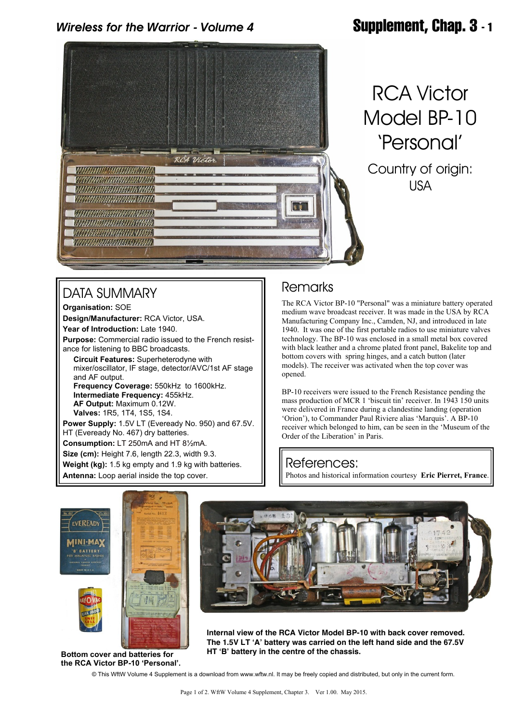## *Wireless for the Warrior - Volume 4* **Supplement, Chap. 3 - 1**



# RCA Victor Model BP-10 'Personal'

Country of origin: USA

### DATA SUMMARY

**Organisation:** SOE **Design/Manufacturer:** RCA Victor, USA. **Year of Introduction:** Late 1940.

**Purpose:** Commercial radio issued to the French resistance for listening to BBC broadcasts.

 **Circuit Features:** Superheterodyne with mixer/oscillator, IF stage, detector/AVC/1st AF stage and AF output.  **Frequency Coverage:** 550kHz to 1600kHz.  **Intermediate Frequency:** 455kHz.  **AF Output:** Maximum 0.12W.  **Valves:** 1R5, 1T4, 1S5, 1S4. **Power Supply:** 1.5V LT (Eveready No. 950) and 67.5V. HT (Eveready No. 467) dry batteries.

**Consumption:** LT 250mA and HT 8½mA.

**Size (cm):** Height 7.6, length 22.3, width 9.3.

**Weight (kg):** 1.5 kg empty and 1.9 kg with batteries. **Antenna:** Loop aerial inside the top cover.

#### Remarks

The RCA Victor BP-10 "Personal" was a miniature battery operated medium wave broadcast receiver. It was made in the USA by RCA Manufacturing Company Inc., Camden, NJ, and introduced in late 1940. It was one of the first portable radios to use miniature valves technology. The BP-10 was enclosed in a small metal box covered with black leather and a chrome plated front panel, Bakelite top and bottom covers with spring hinges, and a catch button (later models). The receiver was activated when the top cover was opened.

BP-10 receivers were issued to the French Resistance pending the mass production of MCR 1 'biscuit tin' receiver. In 1943 150 units were delivered in France during a clandestine landing (operation 'Orion'), to Commander Paul Riviere alias 'Marquis'. A BP-10 receiver which belonged to him, can be seen in the 'Museum of the Order of the Liberation' in Paris.

#### References:

Photos and historical information courtesy **Eric Pierret, France**.





**Internal view of the RCA Victor Model BP-10 with back cover removed. The 1.5V LT 'A' battery was carried on the left hand side and the 67.5V HT 'B' battery in the centre of the chassis. Bottom cover and batteries for**

**the RCA Victor BP-10 'Personal'.**

© This WftW Volume 4 Supplement is a download from www.wftw.nl. It may be freely copied and distributed, but only in the current form.